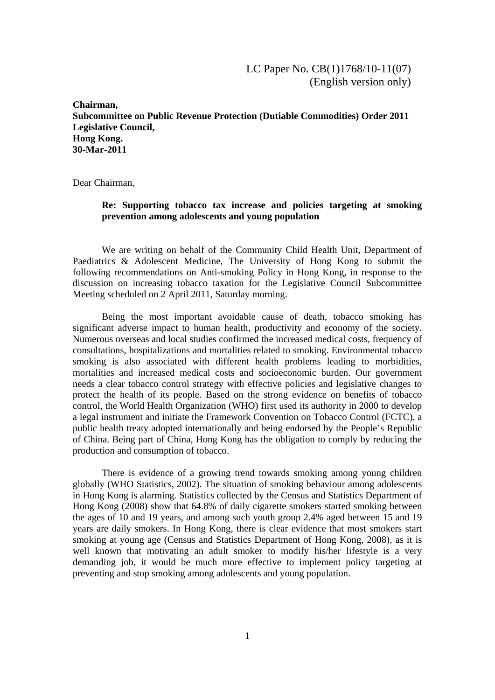**Chairman, Subcommittee on Public Revenue Protection (Dutiable Commodities) Order 2011 Legislative Council, Hong Kong. 30-Mar-2011** 

Dear Chairman,

## **Re: Supporting tobacco tax increase and policies targeting at smoking prevention among adolescents and young population**

 We are writing on behalf of the Community Child Health Unit, Department of Paediatrics & Adolescent Medicine, The University of Hong Kong to submit the following recommendations on Anti-smoking Policy in Hong Kong, in response to the discussion on increasing tobacco taxation for the Legislative Council Subcommittee Meeting scheduled on 2 April 2011, Saturday morning.

 Being the most important avoidable cause of death, tobacco smoking has significant adverse impact to human health, productivity and economy of the society. Numerous overseas and local studies confirmed the increased medical costs, frequency of consultations, hospitalizations and mortalities related to smoking. Environmental tobacco smoking is also associated with different health problems leading to morbidities, mortalities and increased medical costs and socioeconomic burden. Our government needs a clear tobacco control strategy with effective policies and legislative changes to protect the health of its people. Based on the strong evidence on benefits of tobacco control, the World Health Organization (WHO) first used its authority in 2000 to develop a legal instrument and initiate the Framework Convention on Tobacco Control (FCTC), a public health treaty adopted internationally and being endorsed by the People's Republic of China. Being part of China, Hong Kong has the obligation to comply by reducing the production and consumption of tobacco.

There is evidence of a growing trend towards smoking among young children globally (WHO Statistics, 2002). The situation of smoking behaviour among adolescents in Hong Kong is alarming. Statistics collected by the Census and Statistics Department of Hong Kong (2008) show that 64.8% of daily cigarette smokers started smoking between the ages of 10 and 19 years, and among such youth group 2.4% aged between 15 and 19 years are daily smokers. In Hong Kong, there is clear evidence that most smokers start smoking at young age (Census and Statistics Department of Hong Kong, 2008), as it is well known that motivating an adult smoker to modify his/her lifestyle is a very demanding job, it would be much more effective to implement policy targeting at preventing and stop smoking among adolescents and young population.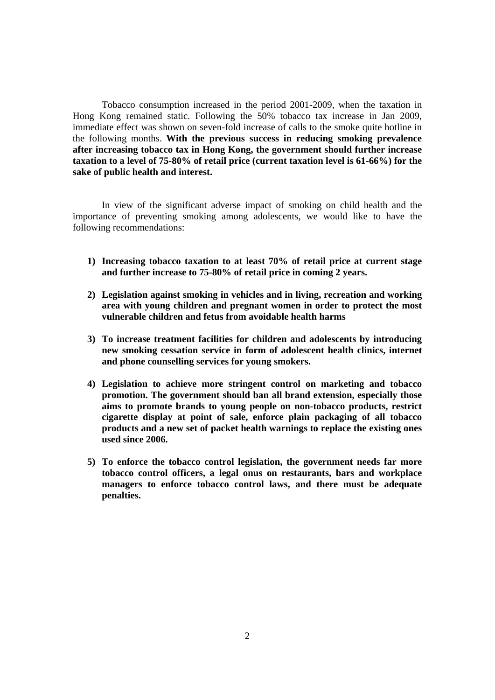Tobacco consumption increased in the period 2001-2009, when the taxation in Hong Kong remained static. Following the 50% tobacco tax increase in Jan 2009, immediate effect was shown on seven-fold increase of calls to the smoke quite hotline in the following months. **With the previous success in reducing smoking prevalence after increasing tobacco tax in Hong Kong, the government should further increase taxation to a level of 75-80% of retail price (current taxation level is 61-66%) for the sake of public health and interest.** 

In view of the significant adverse impact of smoking on child health and the importance of preventing smoking among adolescents, we would like to have the following recommendations:

- **1) Increasing tobacco taxation to at least 70% of retail price at current stage and further increase to 75-80% of retail price in coming 2 years.**
- **2) Legislation against smoking in vehicles and in living, recreation and working area with young children and pregnant women in order to protect the most vulnerable children and fetus from avoidable health harms**
- **3) To increase treatment facilities for children and adolescents by introducing new smoking cessation service in form of adolescent health clinics, internet and phone counselling services for young smokers.**
- **4) Legislation to achieve more stringent control on marketing and tobacco promotion. The government should ban all brand extension, especially those aims to promote brands to young people on non-tobacco products, restrict cigarette display at point of sale, enforce plain packaging of all tobacco products and a new set of packet health warnings to replace the existing ones used since 2006.**
- **5) To enforce the tobacco control legislation, the government needs far more tobacco control officers, a legal onus on restaurants, bars and workplace managers to enforce tobacco control laws, and there must be adequate penalties.**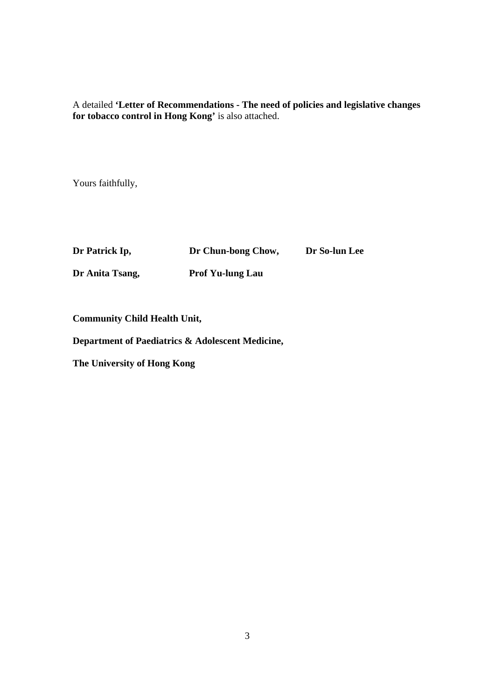A detailed **'Letter of Recommendations - The need of policies and legislative changes for tobacco control in Hong Kong'** is also attached.

Yours faithfully,

| Dr Patrick Ip,  | Dr Chun-bong Chow,      | Dr So-lun Lee |
|-----------------|-------------------------|---------------|
| Dr Anita Tsang, | <b>Prof Yu-lung Lau</b> |               |

**Community Child Health Unit,** 

**Department of Paediatrics & Adolescent Medicine,** 

**The University of Hong Kong**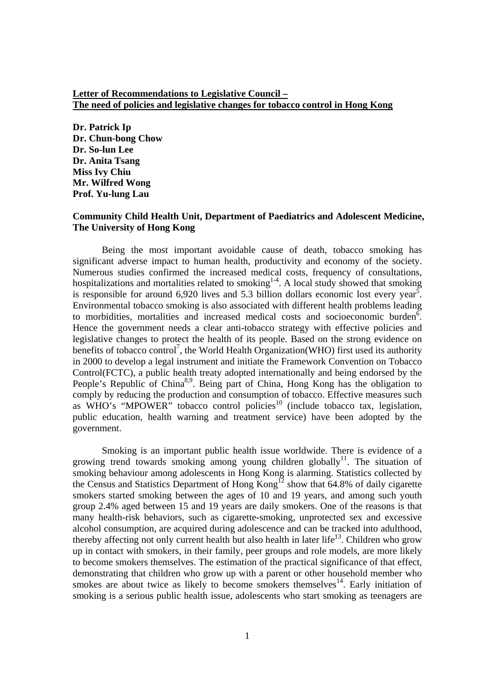## **Letter of Recommendations to Legislative Council – The need of policies and legislative changes for tobacco control in Hong Kong**

**Dr. Patrick Ip Dr. Chun-bong Chow Dr. So-lun Lee Dr. Anita Tsang Miss Ivy Chiu Mr. Wilfred Wong Prof. Yu-lung Lau** 

## **Community Child Health Unit, Department of Paediatrics and Adolescent Medicine, The University of Hong Kong**

Being the most important avoidable cause of death, tobacco smoking has significant adverse impact to human health, productivity and economy of the society. Numerous studies confirmed the increased medical costs, frequency of consultations, hospitalizations and mortalities related to smoking<sup>1-4</sup>. A local study showed that smoking is responsible for around 6,920 lives and 5.3 billion dollars economic lost every year<sup>5</sup>. Environmental tobacco smoking is also associated with different health problems leading to morbidities, mortalities and increased medical costs and socioeconomic burden<sup>6</sup>. Hence the government needs a clear anti-tobacco strategy with effective policies and legislative changes to protect the health of its people. Based on the strong evidence on benefits of tobacco control<sup>7</sup>, the World Health Organization(WHO) first used its authority in 2000 to develop a legal instrument and initiate the Framework Convention on Tobacco Control(FCTC), a public health treaty adopted internationally and being endorsed by the People's Republic of China<sup>8,9</sup>. Being part of China, Hong Kong has the obligation to comply by reducing the production and consumption of tobacco. Effective measures such as  $\overrightarrow{WHO}$ 's "MPOWER" tobacco control policies<sup>10</sup> (include tobacco tax, legislation, public education, health warning and treatment service) have been adopted by the government.

Smoking is an important public health issue worldwide. There is evidence of a growing trend towards smoking among young children globally<sup>11</sup>. The situation of smoking behaviour among adolescents in Hong Kong is alarming. Statistics collected by the Census and Statistics Department of Hong  $Kong<sup>12</sup>$  show that 64.8% of daily cigarette smokers started smoking between the ages of 10 and 19 years, and among such youth group 2.4% aged between 15 and 19 years are daily smokers. One of the reasons is that many health-risk behaviors, such as cigarette-smoking, unprotected sex and excessive alcohol consumption, are acquired during adolescence and can be tracked into adulthood, thereby affecting not only current health but also health in later life<sup>13</sup>. Children who grow up in contact with smokers, in their family, peer groups and role models, are more likely to become smokers themselves. The estimation of the practical significance of that effect, demonstrating that children who grow up with a parent or other household member who smokes are about twice as likely to become smokers themselves<sup>14</sup>. Early initiation of smoking is a serious public health issue, adolescents who start smoking as teenagers are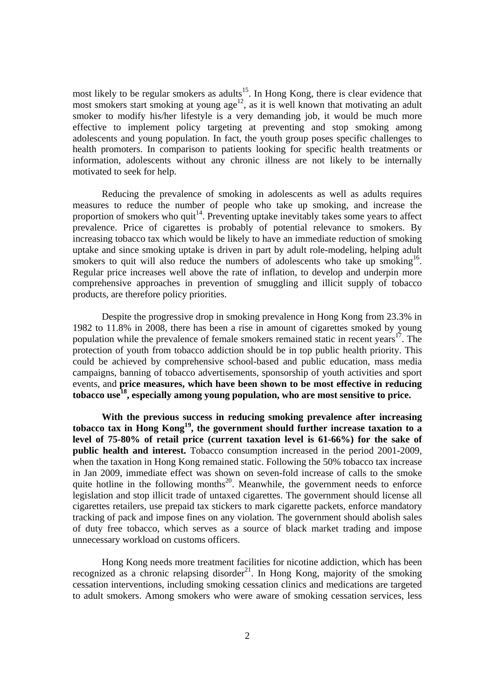most likely to be regular smokers as adults<sup>15</sup>. In Hong Kong, there is clear evidence that most smokers start smoking at young age<sup>12</sup>, as it is well known that motivating an adult smoker to modify his/her lifestyle is a very demanding job, it would be much more effective to implement policy targeting at preventing and stop smoking among adolescents and young population. In fact, the youth group poses specific challenges to health promoters. In comparison to patients looking for specific health treatments or information, adolescents without any chronic illness are not likely to be internally motivated to seek for help.

Reducing the prevalence of smoking in adolescents as well as adults requires measures to reduce the number of people who take up smoking, and increase the proportion of smokers who quit<sup>14</sup>. Preventing uptake inevitably takes some years to affect prevalence. Price of cigarettes is probably of potential relevance to smokers. By increasing tobacco tax which would be likely to have an immediate reduction of smoking uptake and since smoking uptake is driven in part by adult role-modeling, helping adult smokers to quit will also reduce the numbers of adolescents who take up smoking<sup>16</sup>. Regular price increases well above the rate of inflation, to develop and underpin more comprehensive approaches in prevention of smuggling and illicit supply of tobacco products, are therefore policy priorities.

Despite the progressive drop in smoking prevalence in Hong Kong from 23.3% in 1982 to 11.8% in 2008, there has been a rise in amount of cigarettes smoked by young population while the prevalence of female smokers remained static in recent years<sup>17</sup>. The protection of youth from tobacco addiction should be in top public health priority. This could be achieved by comprehensive school-based and public education, mass media campaigns, banning of tobacco advertisements, sponsorship of youth activities and sport events, and **price measures, which have been shown to be most effective in reducing tobacco use18, especially among young population, who are most sensitive to price.**

**With the previous success in reducing smoking prevalence after increasing tobacco tax in Hong Kong19, the government should further increase taxation to a level of 75-80% of retail price (current taxation level is 61-66%) for the sake of public health and interest.** Tobacco consumption increased in the period 2001-2009, when the taxation in Hong Kong remained static. Following the 50% tobacco tax increase in Jan 2009, immediate effect was shown on seven-fold increase of calls to the smoke quite hotline in the following months<sup>20</sup>. Meanwhile, the government needs to enforce legislation and stop illicit trade of untaxed cigarettes. The government should license all cigarettes retailers, use prepaid tax stickers to mark cigarette packets, enforce mandatory tracking of pack and impose fines on any violation. The government should abolish sales of duty free tobacco, which serves as a source of black market trading and impose unnecessary workload on customs officers.

Hong Kong needs more treatment facilities for nicotine addiction, which has been recognized as a chronic relapsing disorder<sup>21</sup>. In Hong Kong, majority of the smoking cessation interventions, including smoking cessation clinics and medications are targeted to adult smokers. Among smokers who were aware of smoking cessation services, less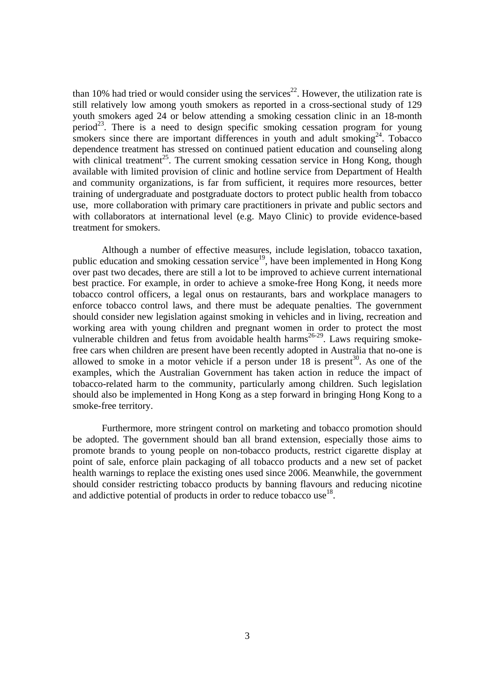than 10% had tried or would consider using the services<sup>22</sup>. However, the utilization rate is still relatively low among youth smokers as reported in a cross-sectional study of 129 youth smokers aged 24 or below attending a smoking cessation clinic in an 18-month period<sup>23</sup>. There is a need to design specific smoking cessation program for young smokers since there are important differences in youth and adult smoking<sup>24</sup>. Tobacco dependence treatment has stressed on continued patient education and counseling along with clinical treatment<sup>25</sup>. The current smoking cessation service in Hong Kong, though available with limited provision of clinic and hotline service from Department of Health and community organizations, is far from sufficient, it requires more resources, better training of undergraduate and postgraduate doctors to protect public health from tobacco use, more collaboration with primary care practitioners in private and public sectors and with collaborators at international level (e.g. Mayo Clinic) to provide evidence-based treatment for smokers.

Although a number of effective measures, include legislation, tobacco taxation, public education and smoking cessation service<sup>19</sup>, have been implemented in Hong Kong over past two decades, there are still a lot to be improved to achieve current international best practice. For example, in order to achieve a smoke-free Hong Kong, it needs more tobacco control officers, a legal onus on restaurants, bars and workplace managers to enforce tobacco control laws, and there must be adequate penalties. The government should consider new legislation against smoking in vehicles and in living, recreation and working area with young children and pregnant women in order to protect the most vulnerable children and fetus from avoidable health harms<sup>26-29</sup>. Laws requiring smokefree cars when children are present have been recently adopted in Australia that no-one is allowed to smoke in a motor vehicle if a person under  $18$  is present<sup>30</sup>. As one of the examples, which the Australian Government has taken action in reduce the impact of tobacco-related harm to the community, particularly among children. Such legislation should also be implemented in Hong Kong as a step forward in bringing Hong Kong to a smoke-free territory.

Furthermore, more stringent control on marketing and tobacco promotion should be adopted. The government should ban all brand extension, especially those aims to promote brands to young people on non-tobacco products, restrict cigarette display at point of sale, enforce plain packaging of all tobacco products and a new set of packet health warnings to replace the existing ones used since 2006. Meanwhile, the government should consider restricting tobacco products by banning flavours and reducing nicotine and addictive potential of products in order to reduce tobacco use<sup>18</sup>.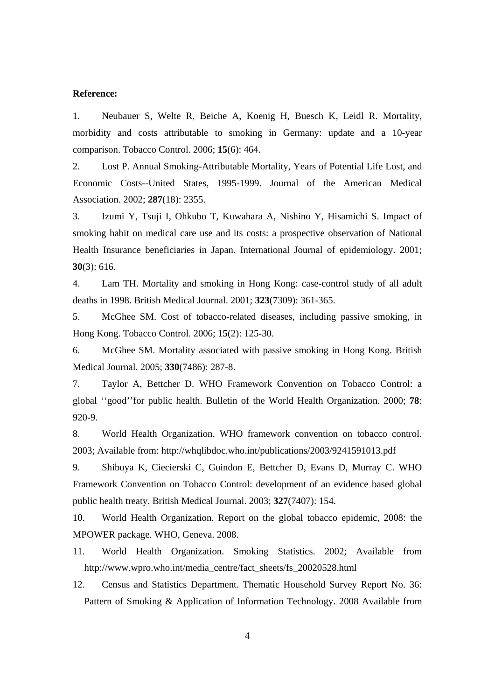## **Reference:**

1. Neubauer S, Welte R, Beiche A, Koenig H, Buesch K, Leidl R. Mortality, morbidity and costs attributable to smoking in Germany: update and a 10-year comparison. Tobacco Control. 2006; **15**(6): 464.

2. Lost P. Annual Smoking-Attributable Mortality, Years of Potential Life Lost, and Economic Costs--United States, 1995-1999. Journal of the American Medical Association. 2002; **287**(18): 2355.

3. Izumi Y, Tsuji I, Ohkubo T, Kuwahara A, Nishino Y, Hisamichi S. Impact of smoking habit on medical care use and its costs: a prospective observation of National Health Insurance beneficiaries in Japan. International Journal of epidemiology. 2001; **30**(3): 616.

4. Lam TH. Mortality and smoking in Hong Kong: case-control study of all adult deaths in 1998. British Medical Journal. 2001; **323**(7309): 361-365.

5. McGhee SM. Cost of tobacco-related diseases, including passive smoking, in Hong Kong. Tobacco Control. 2006; **15**(2): 125-30.

6. McGhee SM. Mortality associated with passive smoking in Hong Kong. British Medical Journal. 2005; **330**(7486): 287-8.

7. Taylor A, Bettcher D. WHO Framework Convention on Tobacco Control: a global ''good''for public health. Bulletin of the World Health Organization. 2000; **78**: 920-9.

8. World Health Organization. WHO framework convention on tobacco control. 2003; Available from: http://whqlibdoc.who.int/publications/2003/9241591013.pdf

9. Shibuya K, Ciecierski C, Guindon E, Bettcher D, Evans D, Murray C. WHO Framework Convention on Tobacco Control: development of an evidence based global public health treaty. British Medical Journal. 2003; **327**(7407): 154.

10. World Health Organization. Report on the global tobacco epidemic, 2008: the MPOWER package. WHO, Geneva. 2008.

11. World Health Organization. Smoking Statistics. 2002; Available from http://www.wpro.who.int/media\_centre/fact\_sheets/fs\_20020528.html

12. Census and Statistics Department. Thematic Household Survey Report No. 36: Pattern of Smoking & Application of Information Technology. 2008 Available from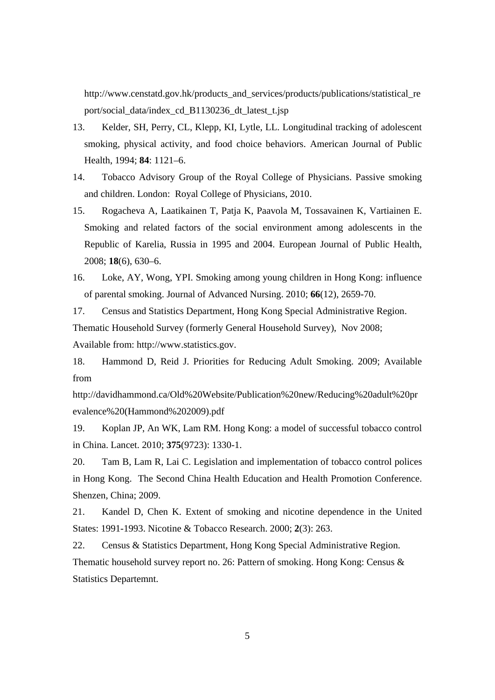http://www.censtatd.gov.hk/products\_and\_services/products/publications/statistical\_re port/social\_data/index\_cd\_B1130236\_dt\_latest\_t.jsp

- 13. Kelder, SH, Perry, CL, Klepp, KI, Lytle, LL. Longitudinal tracking of adolescent smoking, physical activity, and food choice behaviors. American Journal of Public Health, 1994; **84**: 1121–6.
- 14. Tobacco Advisory Group of the Royal College of Physicians. Passive smoking and children. London: Royal College of Physicians, 2010.
- 15. Rogacheva A, Laatikainen T, Patja K, Paavola M, Tossavainen K, Vartiainen E. Smoking and related factors of the social environment among adolescents in the Republic of Karelia, Russia in 1995 and 2004. European Journal of Public Health, 2008; **18**(6), 630–6.
- 16. Loke, AY, Wong, YPI. Smoking among young children in Hong Kong: influence of parental smoking. Journal of Advanced Nursing. 2010; **66**(12), 2659-70.

17. Census and Statistics Department, Hong Kong Special Administrative Region. Thematic Household Survey (formerly General Household Survey), Nov 2008; Available from: http://www.statistics.gov.

18. Hammond D, Reid J. Priorities for Reducing Adult Smoking. 2009; Available from

http://davidhammond.ca/Old%20Website/Publication%20new/Reducing%20adult%20pr evalence%20(Hammond%202009).pdf

19. Koplan JP, An WK, Lam RM. Hong Kong: a model of successful tobacco control in China. Lancet. 2010; **375**(9723): 1330-1.

20. Tam B, Lam R, Lai C. Legislation and implementation of tobacco control polices in Hong Kong. The Second China Health Education and Health Promotion Conference. Shenzen, China; 2009.

21. Kandel D, Chen K. Extent of smoking and nicotine dependence in the United States: 1991-1993. Nicotine & Tobacco Research. 2000; **2**(3): 263.

22. Census & Statistics Department, Hong Kong Special Administrative Region. Thematic household survey report no. 26: Pattern of smoking. Hong Kong: Census & Statistics Departemnt.

5